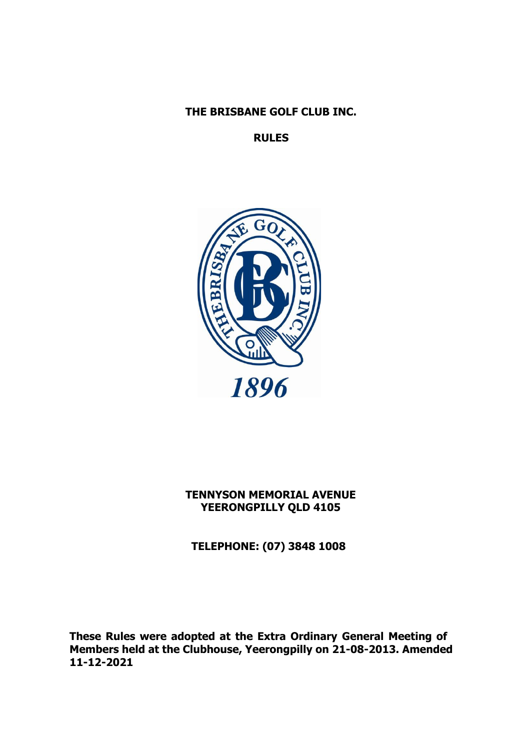**THE BRISBANE GOLF CLUB INC.**

**RULES**



## **TENNYSON MEMORIAL AVENUE YEERONGPILLY QLD 4105**

**TELEPHONE: (07) 3848 1008**

**These Rules were adopted at the Extra Ordinary General Meeting of Members held at the Clubhouse, Yeerongpilly on 21-08-2013. Amended 11-12-2021**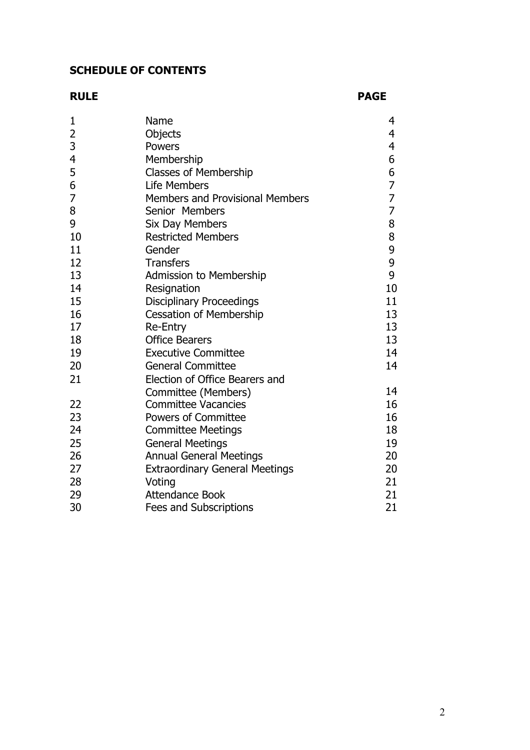### **SCHEDULE OF CONTENTS**

## **RULE**

**PAGE**

| 1              | Name                                   | 4              |
|----------------|----------------------------------------|----------------|
| $\overline{2}$ | Objects                                | 4              |
| 3              | <b>Powers</b>                          | 4              |
| 4              | Membership                             | 6              |
| 5              | <b>Classes of Membership</b>           | 6              |
| 6              | Life Members                           | $\overline{7}$ |
| 7              | <b>Members and Provisional Members</b> | 7              |
| 8              | Senior Members                         | $\overline{7}$ |
| 9              | <b>Six Day Members</b>                 | 8              |
| 10             | <b>Restricted Members</b>              | 8              |
| 11             | Gender                                 | 9              |
| 12             | <b>Transfers</b>                       | 9              |
| 13             | Admission to Membership                | 9              |
| 14             | Resignation                            | 10             |
| 15             | <b>Disciplinary Proceedings</b>        | 11             |
| 16             | <b>Cessation of Membership</b>         | 13             |
| 17             | <b>Re-Entry</b>                        | 13             |
| 18             | <b>Office Bearers</b>                  | 13             |
| 19             | <b>Executive Committee</b>             | 14             |
| 20             | <b>General Committee</b>               | 14             |
| 21             | Election of Office Bearers and         |                |
|                | Committee (Members)                    | 14             |
| 22             | <b>Committee Vacancies</b>             | 16             |
| 23             | <b>Powers of Committee</b>             | 16             |
| 24             | <b>Committee Meetings</b>              | 18             |
| 25             | <b>General Meetings</b>                | 19             |
| 26             | <b>Annual General Meetings</b>         | 20             |
| 27             | <b>Extraordinary General Meetings</b>  | 20             |
| 28             | Voting                                 | 21             |
| 29             | <b>Attendance Book</b>                 | 21             |
| 30             | <b>Fees and Subscriptions</b>          | 21             |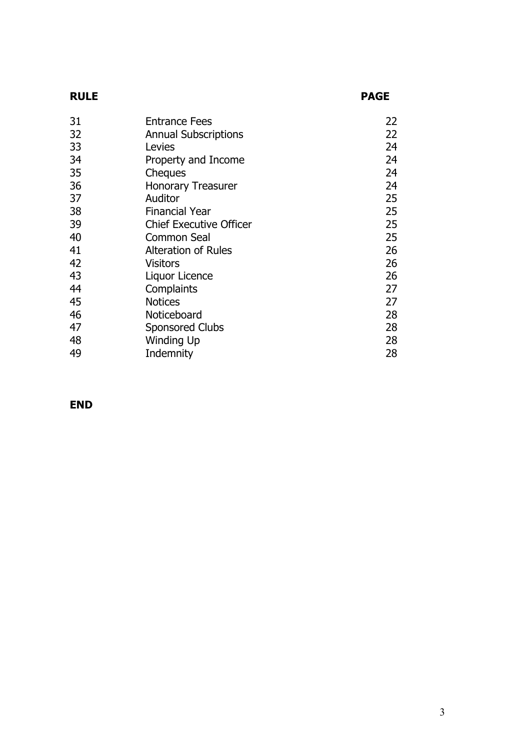| <b>RULE</b> |                                | <b>PAGE</b> |
|-------------|--------------------------------|-------------|
| 31          | <b>Entrance Fees</b>           | 22          |
| 32          | <b>Annual Subscriptions</b>    | 22          |
| 33          | Levies                         | 24          |
| 34          | Property and Income            | 24          |
| 35          | Cheques                        | 24          |
| 36          | <b>Honorary Treasurer</b>      | 24          |
| 37          | Auditor                        | 25          |
| 38          | <b>Financial Year</b>          | 25          |
| 39          | <b>Chief Executive Officer</b> | 25          |
| 40          | <b>Common Seal</b>             | 25          |
| 41          | <b>Alteration of Rules</b>     | 26          |
| 42          | <b>Visitors</b>                | 26          |
| 43          | Liquor Licence                 | 26          |
| 44          | Complaints                     | 27          |
| 45          | <b>Notices</b>                 | 27          |
| 46          | Noticeboard                    | 28          |
| 47          | <b>Sponsored Clubs</b>         | 28          |
| 48          | <b>Winding Up</b>              | 28          |
| 49          | Indemnity                      | 28          |

**END**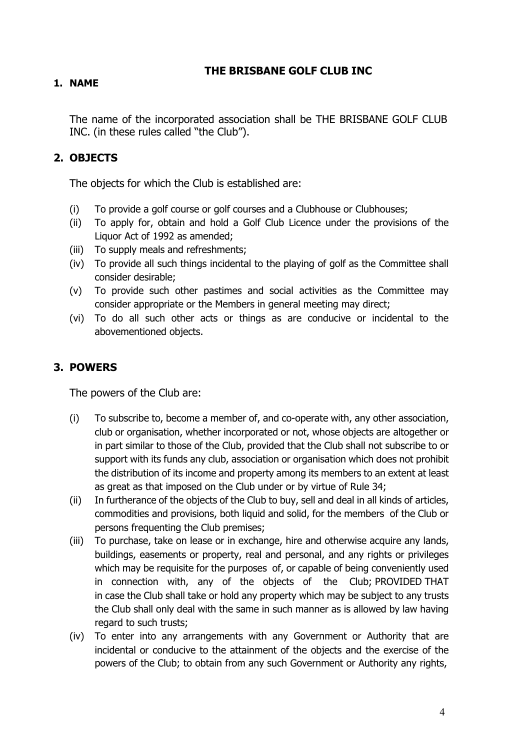## **THE BRISBANE GOLF CLUB INC**

#### **1. NAME**

The name of the incorporated association shall be THE BRISBANE GOLF CLUB INC. (in these rules called "the Club").

## **2. OBJECTS**

The objects for which the Club is established are:

- (i) To provide a golf course or golf courses and a Clubhouse or Clubhouses;
- (ii) To apply for, obtain and hold a Golf Club Licence under the provisions of the Liquor Act of 1992 as amended;
- (iii) To supply meals and refreshments;
- (iv) To provide all such things incidental to the playing of golf as the Committee shall consider desirable;
- (v) To provide such other pastimes and social activities as the Committee may consider appropriate or the Members in general meeting may direct;
- (vi) To do all such other acts or things as are conducive or incidental to the abovementioned objects.

## **3. POWERS**

The powers of the Club are:

- (i) To subscribe to, become a member of, and co-operate with, any other association, club or organisation, whether incorporated or not, whose objects are altogether or in part similar to those of the Club, provided that the Club shall not subscribe to or support with its funds any club, association or organisation which does not prohibit the distribution of its income and property among its members to an extent at least as great as that imposed on the Club under or by virtue of Rule 34;
- (ii) In furtherance of the objects of the Club to buy, sell and deal in all kinds of articles, commodities and provisions, both liquid and solid, for the members of the Club or persons frequenting the Club premises;
- (iii) To purchase, take on lease or in exchange, hire and otherwise acquire any lands, buildings, easements or property, real and personal, and any rights or privileges which may be requisite for the purposes of, or capable of being conveniently used in connection with, any of the objects of the Club; PROVIDED THAT in case the Club shall take or hold any property which may be subject to any trusts the Club shall only deal with the same in such manner as is allowed by law having regard to such trusts;
- (iv) To enter into any arrangements with any Government or Authority that are incidental or conducive to the attainment of the objects and the exercise of the powers of the Club; to obtain from any such Government or Authority any rights,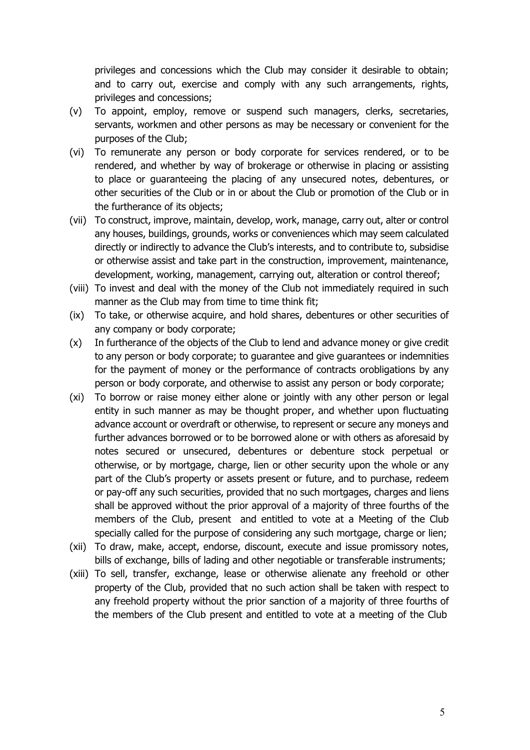privileges and concessions which the Club may consider it desirable to obtain; and to carry out, exercise and comply with any such arrangements, rights, privileges and concessions;

- (v) To appoint, employ, remove or suspend such managers, clerks, secretaries, servants, workmen and other persons as may be necessary or convenient for the purposes of the Club;
- (vi) To remunerate any person or body corporate for services rendered, or to be rendered, and whether by way of brokerage or otherwise in placing or assisting to place or guaranteeing the placing of any unsecured notes, debentures, or other securities of the Club or in or about the Club or promotion of the Club or in the furtherance of its objects;
- (vii) To construct, improve, maintain, develop, work, manage, carry out, alter or control any houses, buildings, grounds, works or conveniences which may seem calculated directly or indirectly to advance the Club's interests, and to contribute to, subsidise or otherwise assist and take part in the construction, improvement, maintenance, development, working, management, carrying out, alteration or control thereof;
- (viii) To invest and deal with the money of the Club not immediately required in such manner as the Club may from time to time think fit;
- (ix) To take, or otherwise acquire, and hold shares, debentures or other securities of any company or body corporate;
- (x) In furtherance of the objects of the Club to lend and advance money or give credit to any person or body corporate; to guarantee and give guarantees or indemnities for the payment of money or the performance of contracts orobligations by any person or body corporate, and otherwise to assist any person or body corporate;
- (xi) To borrow or raise money either alone or jointly with any other person or legal entity in such manner as may be thought proper, and whether upon fluctuating advance account or overdraft or otherwise, to represent or secure any moneys and further advances borrowed or to be borrowed alone or with others as aforesaid by notes secured or unsecured, debentures or debenture stock perpetual or otherwise, or by mortgage, charge, lien or other security upon the whole or any part of the Club's property or assets present or future, and to purchase, redeem or pay-off any such securities, provided that no such mortgages, charges and liens shall be approved without the prior approval of a majority of three fourths of the members of the Club, present and entitled to vote at a Meeting of the Club specially called for the purpose of considering any such mortgage, charge or lien;
- (xii) To draw, make, accept, endorse, discount, execute and issue promissory notes, bills of exchange, bills of lading and other negotiable or transferable instruments;
- (xiii) To sell, transfer, exchange, lease or otherwise alienate any freehold or other property of the Club, provided that no such action shall be taken with respect to any freehold property without the prior sanction of a majority of three fourths of the members of the Club present and entitled to vote at a meeting of the Club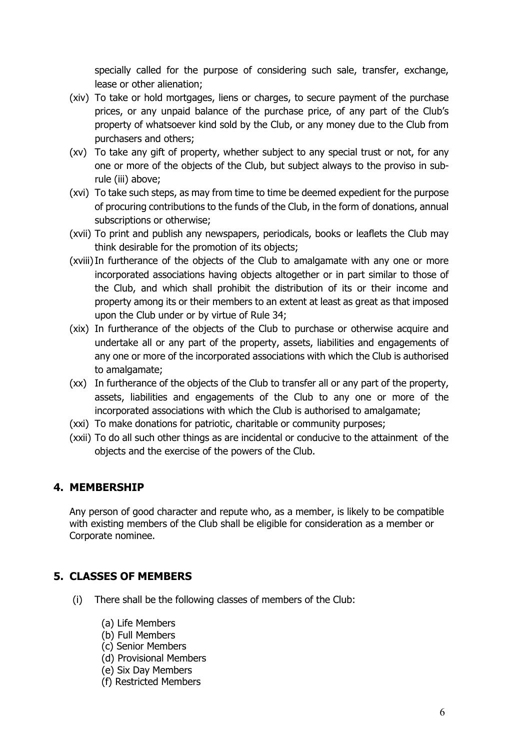specially called for the purpose of considering such sale, transfer, exchange, lease or other alienation;

- (xiv) To take or hold mortgages, liens or charges, to secure payment of the purchase prices, or any unpaid balance of the purchase price, of any part of the Club's property of whatsoever kind sold by the Club, or any money due to the Club from purchasers and others;
- (xv) To take any gift of property, whether subject to any special trust or not, for any one or more of the objects of the Club, but subject always to the proviso in subrule (iii) above;
- (xvi) To take such steps, as may from time to time be deemed expedient for the purpose of procuring contributions to the funds of the Club, in the form of donations, annual subscriptions or otherwise;
- (xvii) To print and publish any newspapers, periodicals, books or leaflets the Club may think desirable for the promotion of its objects;
- (xviii)In furtherance of the objects of the Club to amalgamate with any one or more incorporated associations having objects altogether or in part similar to those of the Club, and which shall prohibit the distribution of its or their income and property among its or their members to an extent at least as great as that imposed upon the Club under or by virtue of Rule 34;
- (xix) In furtherance of the objects of the Club to purchase or otherwise acquire and undertake all or any part of the property, assets, liabilities and engagements of any one or more of the incorporated associations with which the Club is authorised to amalgamate;
- (xx) In furtherance of the objects of the Club to transfer all or any part of the property, assets, liabilities and engagements of the Club to any one or more of the incorporated associations with which the Club is authorised to amalgamate;
- (xxi) To make donations for patriotic, charitable or community purposes;
- (xxii) To do all such other things as are incidental or conducive to the attainment of the objects and the exercise of the powers of the Club.

### **4. MEMBERSHIP**

Any person of good character and repute who, as a member, is likely to be compatible with existing members of the Club shall be eligible for consideration as a member or Corporate nominee.

### **5. CLASSES OF MEMBERS**

- (i) There shall be the following classes of members of the Club:
	- (a) Life Members
	- (b) Full Members
	- (c) Senior Members
	- (d) Provisional Members
	- (e) Six Day Members
	- (f) Restricted Members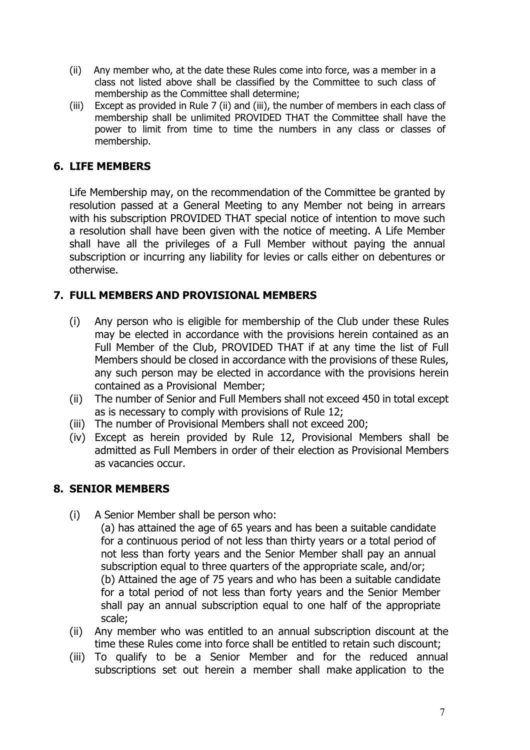- (ii) Any member who, at the date these Rules come into force, was a member in a class not listed above shall be classified by the Committee to such class of membership as the Committee shall determine;
- (iii) Except as provided in Rule 7 (ii) and (iii), the number of members in each class of membership shall be unlimited PROVIDED THAT the Committee shall have the power to limit from time to time the numbers in any class or classes of membership.

## **6. LIFE MEMBERS**

Life Membership may, on the recommendation of the Committee be granted by resolution passed at a General Meeting to any Member not being in arrears with his subscription PROVIDED THAT special notice of intention to move such a resolution shall have been given with the notice of meeting. A Life Member shall have all the privileges of a Full Member without paying the annual subscription or incurring any liability for levies or calls either on debentures or otherwise.

### **7. FULL MEMBERS AND PROVISIONAL MEMBERS**

- (i) Any person who is eligible for membership of the Club under these Rules may be elected in accordance with the provisions herein contained as an Full Member of the Club, PROVIDED THAT if at any time the list of Full Members should be closed in accordance with the provisions of these Rules, any such person may be elected in accordance with the provisions herein contained as a Provisional Member;
- (ii) The number of Senior and Full Members shall not exceed 450 in total except as is necessary to comply with provisions of Rule 12;
- (iii) The number of Provisional Members shall not exceed 200;
- (iv) Except as herein provided by Rule 12, Provisional Members shall be admitted as Full Members in order of their election as Provisional Members as vacancies occur.

## **8. SENIOR MEMBERS**

- (i) A Senior Member shall be person who:
	- (a) has attained the age of 65 years and has been a suitable candidate for a continuous period of not less than thirty years or a total period of not less than forty years and the Senior Member shall pay an annual subscription equal to three quarters of the appropriate scale, and/or; (b) Attained the age of 75 years and who has been a suitable candidate for a total period of not less than forty years and the Senior Member shall pay an annual subscription equal to one half of the appropriate scale;
- (ii) Any member who was entitled to an annual subscription discount at the time these Rules come into force shall be entitled to retain such discount;
- (iii) To qualify to be a Senior Member and for the reduced annual subscriptions set out herein a member shall make application to the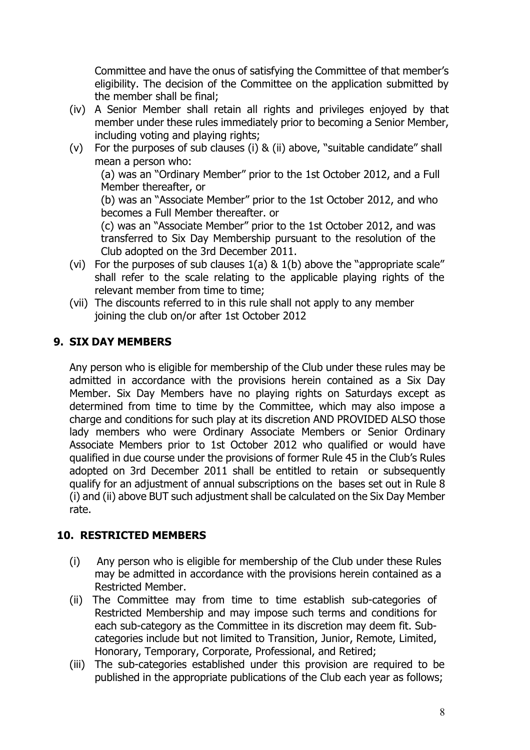Committee and have the onus of satisfying the Committee of that member's eligibility. The decision of the Committee on the application submitted by the member shall be final;

- (iv) A Senior Member shall retain all rights and privileges enjoyed by that member under these rules immediately prior to becoming a Senior Member, including voting and playing rights;
- (v) For the purposes of sub clauses (i) & (ii) above, "suitable candidate" shall mean a person who:

(a) was an "Ordinary Member" prior to the 1st October 2012, and a Full Member thereafter, or

(b) was an "Associate Member" prior to the 1st October 2012, and who becomes a Full Member thereafter. or

(c) was an "Associate Member" prior to the 1st October 2012, and was transferred to Six Day Membership pursuant to the resolution of the Club adopted on the 3rd December 2011.

- (vi) For the purposes of sub clauses  $1(a) 8 1(b)$  above the "appropriate scale" shall refer to the scale relating to the applicable playing rights of the relevant member from time to time;
- (vii) The discounts referred to in this rule shall not apply to any member joining the club on/or after 1st October 2012

# **9. SIX DAY MEMBERS**

Any person who is eligible for membership of the Club under these rules may be admitted in accordance with the provisions herein contained as a Six Day Member. Six Day Members have no playing rights on Saturdays except as determined from time to time by the Committee, which may also impose a charge and conditions for such play at its discretion AND PROVIDED ALSO those lady members who were Ordinary Associate Members or Senior Ordinary Associate Members prior to 1st October 2012 who qualified or would have qualified in due course under the provisions of former Rule 45 in the Club's Rules adopted on 3rd December 2011 shall be entitled to retain or subsequently qualify for an adjustment of annual subscriptions on the bases set out in Rule 8 (i) and (ii) above BUT such adjustment shall be calculated on the Six Day Member rate.

## **10. RESTRICTED MEMBERS**

- (i) Any person who is eligible for membership of the Club under these Rules may be admitted in accordance with the provisions herein contained as a Restricted Member.
- (ii) The Committee may from time to time establish sub-categories of Restricted Membership and may impose such terms and conditions for each sub-category as the Committee in its discretion may deem fit. Subcategories include but not limited to Transition, Junior, Remote, Limited, Honorary, Temporary, Corporate, Professional, and Retired;
- (iii) The sub-categories established under this provision are required to be published in the appropriate publications of the Club each year as follows;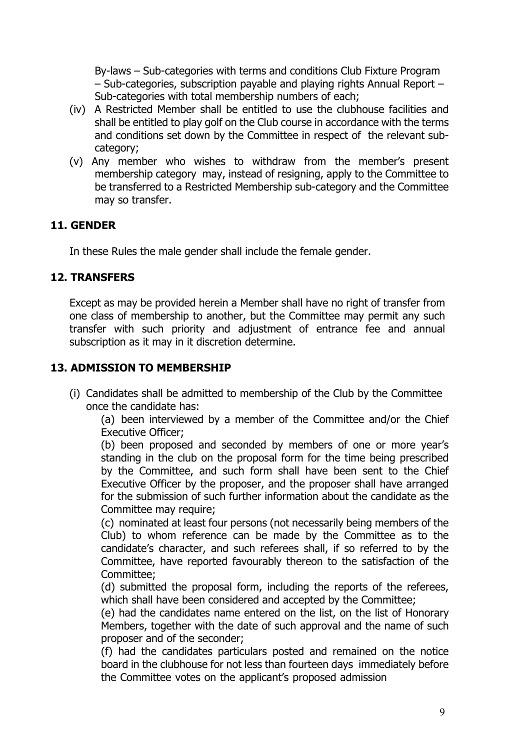By-laws – Sub-categories with terms and conditions Club Fixture Program – Sub-categories, subscription payable and playing rights Annual Report – Sub-categories with total membership numbers of each;

- (iv) A Restricted Member shall be entitled to use the clubhouse facilities and shall be entitled to play golf on the Club course in accordance with the terms and conditions set down by the Committee in respect of the relevant subcategory;
- (v) Any member who wishes to withdraw from the member's present membership category may, instead of resigning, apply to the Committee to be transferred to a Restricted Membership sub-category and the Committee may so transfer.

## **11. GENDER**

In these Rules the male gender shall include the female gender.

## **12. TRANSFERS**

Except as may be provided herein a Member shall have no right of transfer from one class of membership to another, but the Committee may permit any such transfer with such priority and adjustment of entrance fee and annual subscription as it may in it discretion determine.

## **13. ADMISSION TO MEMBERSHIP**

(i) Candidates shall be admitted to membership of the Club by the Committee once the candidate has:

(a) been interviewed by a member of the Committee and/or the Chief Executive Officer;

(b) been proposed and seconded by members of one or more year's standing in the club on the proposal form for the time being prescribed by the Committee, and such form shall have been sent to the Chief Executive Officer by the proposer, and the proposer shall have arranged for the submission of such further information about the candidate as the Committee may require;

(c) nominated at least four persons (not necessarily being members of the Club) to whom reference can be made by the Committee as to the candidate's character, and such referees shall, if so referred to by the Committee, have reported favourably thereon to the satisfaction of the Committee;

(d) submitted the proposal form, including the reports of the referees, which shall have been considered and accepted by the Committee;

(e) had the candidates name entered on the list, on the list of Honorary Members, together with the date of such approval and the name of such proposer and of the seconder;

(f) had the candidates particulars posted and remained on the notice board in the clubhouse for not less than fourteen days immediately before the Committee votes on the applicant's proposed admission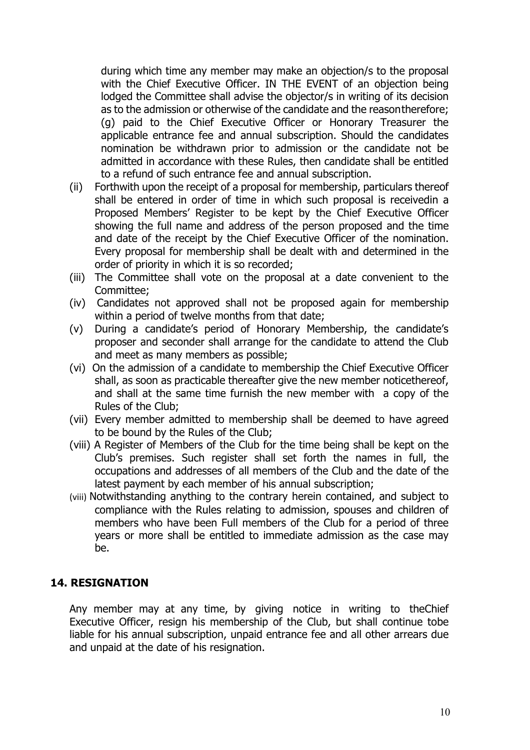during which time any member may make an objection/s to the proposal with the Chief Executive Officer. IN THE EVENT of an objection being lodged the Committee shall advise the objector/s in writing of its decision as to the admission or otherwise of the candidate and the reason therefore; (g) paid to the Chief Executive Officer or Honorary Treasurer the applicable entrance fee and annual subscription. Should the candidates nomination be withdrawn prior to admission or the candidate not be admitted in accordance with these Rules, then candidate shall be entitled to a refund of such entrance fee and annual subscription.

- (ii) Forthwith upon the receipt of a proposal for membership, particulars thereof shall be entered in order of time in which such proposal is receivedin a Proposed Members' Register to be kept by the Chief Executive Officer showing the full name and address of the person proposed and the time and date of the receipt by the Chief Executive Officer of the nomination. Every proposal for membership shall be dealt with and determined in the order of priority in which it is so recorded;
- (iii) The Committee shall vote on the proposal at a date convenient to the Committee;
- (iv) Candidates not approved shall not be proposed again for membership within a period of twelve months from that date;
- (v) During a candidate's period of Honorary Membership, the candidate's proposer and seconder shall arrange for the candidate to attend the Club and meet as many members as possible;
- (vi) On the admission of a candidate to membership the Chief Executive Officer shall, as soon as practicable thereafter give the new member noticethereof, and shall at the same time furnish the new member with a copy of the Rules of the Club;
- (vii) Every member admitted to membership shall be deemed to have agreed to be bound by the Rules of the Club;
- (viii) A Register of Members of the Club for the time being shall be kept on the Club's premises. Such register shall set forth the names in full, the occupations and addresses of all members of the Club and the date of the latest payment by each member of his annual subscription;
- (viii) Notwithstanding anything to the contrary herein contained, and subject to compliance with the Rules relating to admission, spouses and children of members who have been Full members of the Club for a period of three years or more shall be entitled to immediate admission as the case may be.

#### **14. RESIGNATION**

Any member may at any time, by giving notice in writing to theChief Executive Officer, resign his membership of the Club, but shall continue tobe liable for his annual subscription, unpaid entrance fee and all other arrears due and unpaid at the date of his resignation.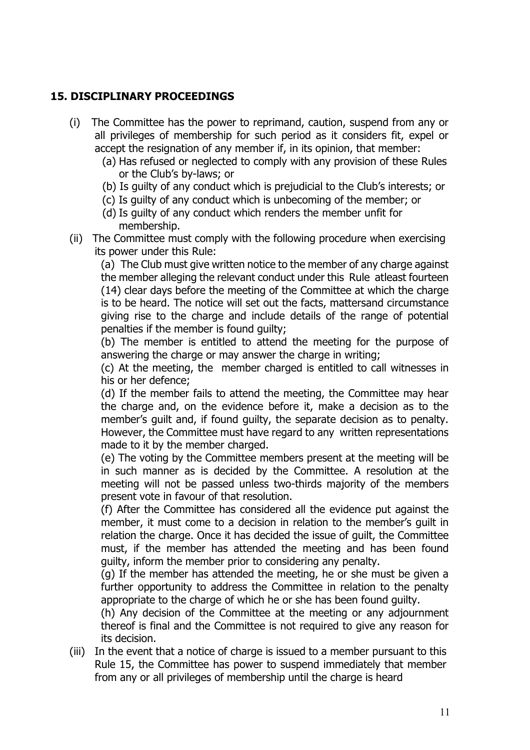## **15. DISCIPLINARY PROCEEDINGS**

- (i) The Committee has the power to reprimand, caution, suspend from any or all privileges of membership for such period as it considers fit, expel or accept the resignation of any member if, in its opinion, that member:
	- (a) Has refused or neglected to comply with any provision of these Rules or the Club's by-laws; or
	- (b) Is guilty of any conduct which is prejudicial to the Club's interests; or
	- (c) Is guilty of any conduct which is unbecoming of the member; or
	- (d) Is guilty of any conduct which renders the member unfit for membership.
- (ii) The Committee must comply with the following procedure when exercising its power under this Rule:

(a) The Club must give written notice to the member of any charge against the member alleging the relevant conduct under this Rule atleast fourteen (14) clear days before the meeting of the Committee at which the charge is to be heard. The notice will set out the facts, mattersand circumstance giving rise to the charge and include details of the range of potential penalties if the member is found guilty;

(b) The member is entitled to attend the meeting for the purpose of answering the charge or may answer the charge in writing;

(c) At the meeting, the member charged is entitled to call witnesses in his or her defence;

(d) If the member fails to attend the meeting, the Committee may hear the charge and, on the evidence before it, make a decision as to the member's guilt and, if found guilty, the separate decision as to penalty. However, the Committee must have regard to any written representations made to it by the member charged.

(e) The voting by the Committee members present at the meeting will be in such manner as is decided by the Committee. A resolution at the meeting will not be passed unless two-thirds majority of the members present vote in favour of that resolution.

(f) After the Committee has considered all the evidence put against the member, it must come to a decision in relation to the member's guilt in relation the charge. Once it has decided the issue of guilt, the Committee must, if the member has attended the meeting and has been found guilty, inform the member prior to considering any penalty.

(g) If the member has attended the meeting, he or she must be given a further opportunity to address the Committee in relation to the penalty appropriate to the charge of which he or she has been found guilty.

(h) Any decision of the Committee at the meeting or any adjournment thereof is final and the Committee is not required to give any reason for its decision.

(iii) In the event that a notice of charge is issued to a member pursuant to this Rule 15, the Committee has power to suspend immediately that member from any or all privileges of membership until the charge is heard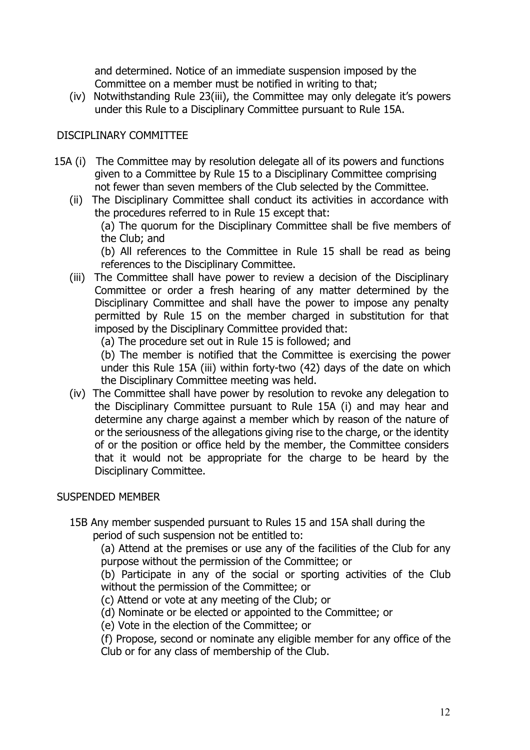and determined. Notice of an immediate suspension imposed by the Committee on a member must be notified in writing to that;

(iv) Notwithstanding Rule 23(iii), the Committee may only delegate it's powers under this Rule to a Disciplinary Committee pursuant to Rule 15A.

### DISCIPI INARY COMMITTEE

- 15A (i) The Committee may by resolution delegate all of its powers and functions given to a Committee by Rule 15 to a Disciplinary Committee comprising not fewer than seven members of the Club selected by the Committee.
	- (ii) The Disciplinary Committee shall conduct its activities in accordance with the procedures referred to in Rule 15 except that:

(a) The quorum for the Disciplinary Committee shall be five members of the Club; and

(b) All references to the Committee in Rule 15 shall be read as being references to the Disciplinary Committee.

(iii) The Committee shall have power to review a decision of the Disciplinary Committee or order a fresh hearing of any matter determined by the Disciplinary Committee and shall have the power to impose any penalty permitted by Rule 15 on the member charged in substitution for that imposed by the Disciplinary Committee provided that:

(a) The procedure set out in Rule 15 is followed; and

(b) The member is notified that the Committee is exercising the power under this Rule 15A (iii) within forty-two (42) days of the date on which the Disciplinary Committee meeting was held.

(iv) The Committee shall have power by resolution to revoke any delegation to the Disciplinary Committee pursuant to Rule 15A (i) and may hear and determine any charge against a member which by reason of the nature of or the seriousness of the allegations giving rise to the charge, or the identity of or the position or office held by the member, the Committee considers that it would not be appropriate for the charge to be heard by the Disciplinary Committee.

### SUSPENDED MEMBER

15B Any member suspended pursuant to Rules 15 and 15A shall during the period of such suspension not be entitled to:

(a) Attend at the premises or use any of the facilities of the Club for any purpose without the permission of the Committee; or

(b) Participate in any of the social or sporting activities of the Club without the permission of the Committee; or

(c) Attend or vote at any meeting of the Club; or

(d) Nominate or be elected or appointed to the Committee; or

(e) Vote in the election of the Committee; or

(f) Propose, second or nominate any eligible member for any office of the Club or for any class of membership of the Club.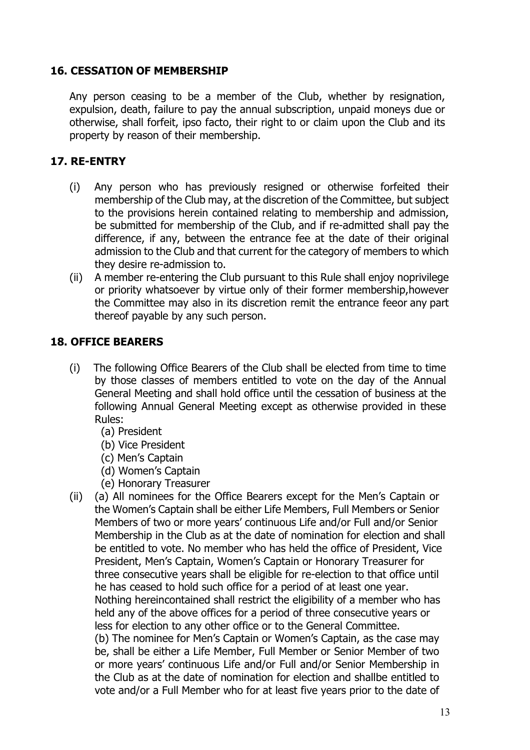### **16. CESSATION OF MEMBERSHIP**

Any person ceasing to be a member of the Club, whether by resignation, expulsion, death, failure to pay the annual subscription, unpaid moneys due or otherwise, shall forfeit, ipso facto, their right to or claim upon the Club and its property by reason of their membership.

### **17. RE-ENTRY**

- (i) Any person who has previously resigned or otherwise forfeited their membership of the Club may, at the discretion of the Committee, but subject to the provisions herein contained relating to membership and admission, be submitted for membership of the Club, and if re-admitted shall pay the difference, if any, between the entrance fee at the date of their original admission to the Club and that current for the category of members to which they desire re-admission to.
- (ii) A member re-entering the Club pursuant to this Rule shall enjoy noprivilege or priority whatsoever by virtue only of their former membership,however the Committee may also in its discretion remit the entrance feeor any part thereof payable by any such person.

### **18. OFFICE BEARERS**

- (i) The following Office Bearers of the Club shall be elected from time to time by those classes of members entitled to vote on the day of the Annual General Meeting and shall hold office until the cessation of business at the following Annual General Meeting except as otherwise provided in these Rules:
	- (a) President
	- (b) Vice President
	- (c) Men's Captain
	- (d) Women's Captain
	- (e) Honorary Treasurer
- (ii) (a) All nominees for the Office Bearers except for the Men's Captain or the Women's Captain shall be either Life Members, Full Members or Senior Members of two or more years' continuous Life and/or Full and/or Senior Membership in the Club as at the date of nomination for election and shall be entitled to vote. No member who has held the office of President, Vice President, Men's Captain, Women's Captain or Honorary Treasurer for three consecutive years shall be eligible for re-election to that office until he has ceased to hold such office for a period of at least one year. Nothing hereincontained shall restrict the eligibility of a member who has held any of the above offices for a period of three consecutive years or less for election to any other office or to the General Committee. (b) The nominee for Men's Captain or Women's Captain, as the case may be, shall be either a Life Member, Full Member or Senior Member of two or more years' continuous Life and/or Full and/or Senior Membership in the Club as at the date of nomination for election and shallbe entitled to vote and/or a Full Member who for at least five years prior to the date of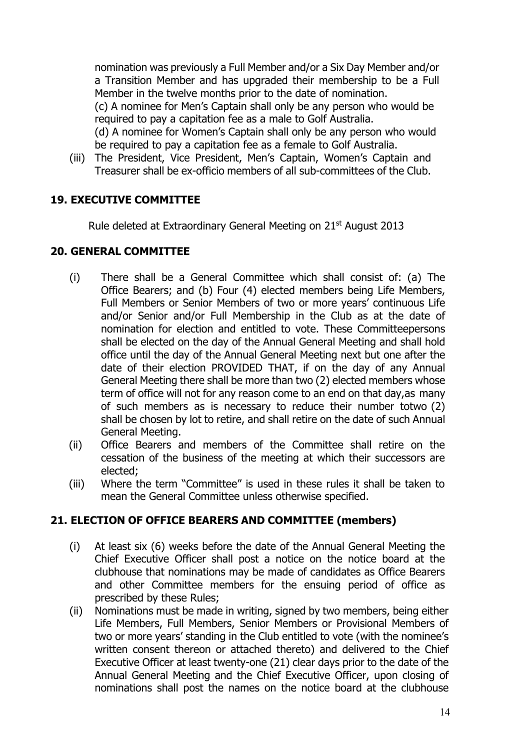nomination was previously a Full Member and/or a Six Day Member and/or a Transition Member and has upgraded their membership to be a Full Member in the twelve months prior to the date of nomination.

(c) A nominee for Men's Captain shall only be any person who would be required to pay a capitation fee as a male to Golf Australia.

(d) A nominee for Women's Captain shall only be any person who would be required to pay a capitation fee as a female to Golf Australia.

(iii) The President, Vice President, Men's Captain, Women's Captain and Treasurer shall be ex-officio members of all sub-committees of the Club.

## **19. EXECUTIVE COMMITTEE**

Rule deleted at Extraordinary General Meeting on 21<sup>st</sup> August 2013

### **20. GENERAL COMMITTEE**

- (i) There shall be a General Committee which shall consist of: (a) The Office Bearers; and (b) Four (4) elected members being Life Members, Full Members or Senior Members of two or more years' continuous Life and/or Senior and/or Full Membership in the Club as at the date of nomination for election and entitled to vote. These Committeepersons shall be elected on the day of the Annual General Meeting and shall hold office until the day of the Annual General Meeting next but one after the date of their election PROVIDED THAT, if on the day of any Annual General Meeting there shall be more than two (2) elected members whose term of office will not for any reason come to an end on that day,as many of such members as is necessary to reduce their number totwo (2) shall be chosen by lot to retire, and shall retire on the date of such Annual General Meeting.
- (ii) Office Bearers and members of the Committee shall retire on the cessation of the business of the meeting at which their successors are elected;
- (iii) Where the term "Committee" is used in these rules it shall be taken to mean the General Committee unless otherwise specified.

## **21. ELECTION OF OFFICE BEARERS AND COMMITTEE (members)**

- (i) At least six (6) weeks before the date of the Annual General Meeting the Chief Executive Officer shall post a notice on the notice board at the clubhouse that nominations may be made of candidates as Office Bearers and other Committee members for the ensuing period of office as prescribed by these Rules;
- (ii) Nominations must be made in writing, signed by two members, being either Life Members, Full Members, Senior Members or Provisional Members of two or more years' standing in the Club entitled to vote (with the nominee's written consent thereon or attached thereto) and delivered to the Chief Executive Officer at least twenty-one (21) clear days prior to the date of the Annual General Meeting and the Chief Executive Officer, upon closing of nominations shall post the names on the notice board at the clubhouse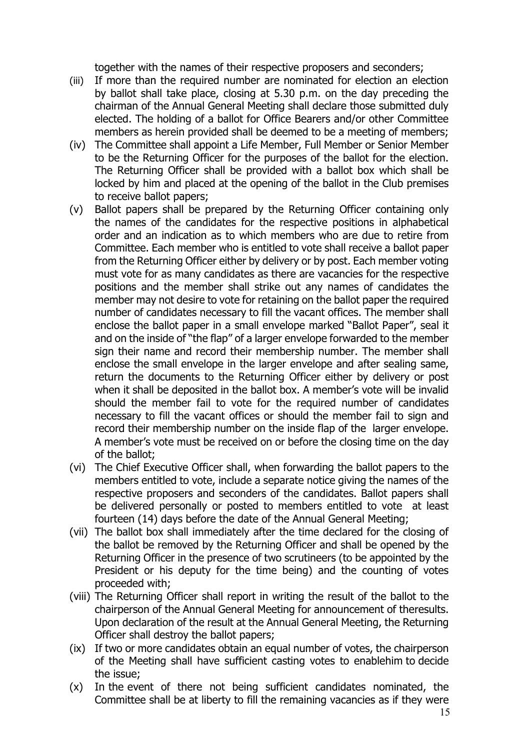together with the names of their respective proposers and seconders;

- (iii) If more than the required number are nominated for election an election by ballot shall take place, closing at 5.30 p.m. on the day preceding the chairman of the Annual General Meeting shall declare those submitted duly elected. The holding of a ballot for Office Bearers and/or other Committee members as herein provided shall be deemed to be a meeting of members;
- (iv) The Committee shall appoint a Life Member, Full Member or Senior Member to be the Returning Officer for the purposes of the ballot for the election. The Returning Officer shall be provided with a ballot box which shall be locked by him and placed at the opening of the ballot in the Club premises to receive ballot papers;
- (v) Ballot papers shall be prepared by the Returning Officer containing only the names of the candidates for the respective positions in alphabetical order and an indication as to which members who are due to retire from Committee. Each member who is entitled to vote shall receive a ballot paper from the Returning Officer either by delivery or by post. Each member voting must vote for as many candidates as there are vacancies for the respective positions and the member shall strike out any names of candidates the member may not desire to vote for retaining on the ballot paper the required number of candidates necessary to fill the vacant offices. The member shall enclose the ballot paper in a small envelope marked "Ballot Paper", seal it and on the inside of "the flap" of a larger envelope forwarded to the member sign their name and record their membership number. The member shall enclose the small envelope in the larger envelope and after sealing same, return the documents to the Returning Officer either by delivery or post when it shall be deposited in the ballot box. A member's vote will be invalid should the member fail to vote for the required number of candidates necessary to fill the vacant offices or should the member fail to sign and record their membership number on the inside flap of the larger envelope. A member's vote must be received on or before the closing time on the day of the ballot;
- (vi) The Chief Executive Officer shall, when forwarding the ballot papers to the members entitled to vote, include a separate notice giving the names of the respective proposers and seconders of the candidates. Ballot papers shall be delivered personally or posted to members entitled to vote at least fourteen (14) days before the date of the Annual General Meeting;
- (vii) The ballot box shall immediately after the time declared for the closing of the ballot be removed by the Returning Officer and shall be opened by the Returning Officer in the presence of two scrutineers (to be appointed by the President or his deputy for the time being) and the counting of votes proceeded with;
- (viii) The Returning Officer shall report in writing the result of the ballot to the chairperson of the Annual General Meeting for announcement of theresults. Upon declaration of the result at the Annual General Meeting, the Returning Officer shall destroy the ballot papers;
- (ix) If two or more candidates obtain an equal number of votes, the chairperson of the Meeting shall have sufficient casting votes to enablehim to decide the issue;
- (x) In the event of there not being sufficient candidates nominated, the Committee shall be at liberty to fill the remaining vacancies as if they were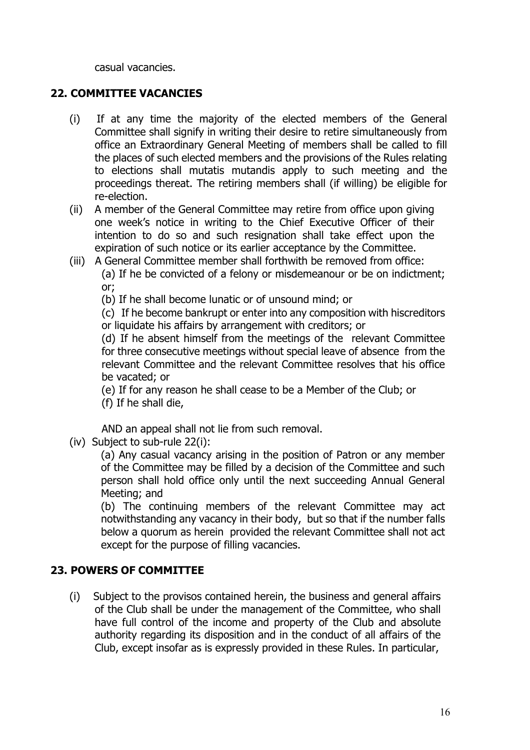casual vacancies.

### **22. COMMITTEE VACANCIES**

- (i) If at any time the majority of the elected members of the General Committee shall signify in writing their desire to retire simultaneously from office an Extraordinary General Meeting of members shall be called to fill the places of such elected members and the provisions of the Rules relating to elections shall mutatis mutandis apply to such meeting and the proceedings thereat. The retiring members shall (if willing) be eligible for re-election.
- (ii) A member of the General Committee may retire from office upon giving one week's notice in writing to the Chief Executive Officer of their intention to do so and such resignation shall take effect upon the expiration of such notice or its earlier acceptance by the Committee.
- (iii) A General Committee member shall forthwith be removed from office: (a) If he be convicted of a felony or misdemeanour or be on indictment; or;

(b) If he shall become lunatic or of unsound mind; or

(c) If he become bankrupt or enter into any composition with hiscreditors or liquidate his affairs by arrangement with creditors; or

(d) If he absent himself from the meetings of the relevant Committee for three consecutive meetings without special leave of absence from the relevant Committee and the relevant Committee resolves that his office be vacated; or

(e) If for any reason he shall cease to be a Member of the Club; or

(f) If he shall die,

AND an appeal shall not lie from such removal.

(iv) Subject to sub-rule 22(i):

(a) Any casual vacancy arising in the position of Patron or any member of the Committee may be filled by a decision of the Committee and such person shall hold office only until the next succeeding Annual General Meeting; and

(b) The continuing members of the relevant Committee may act notwithstanding any vacancy in their body, but so that if the number falls below a quorum as herein provided the relevant Committee shall not act except for the purpose of filling vacancies.

## **23. POWERS OF COMMITTEE**

(i) Subject to the provisos contained herein, the business and general affairs of the Club shall be under the management of the Committee, who shall have full control of the income and property of the Club and absolute authority regarding its disposition and in the conduct of all affairs of the Club, except insofar as is expressly provided in these Rules. In particular,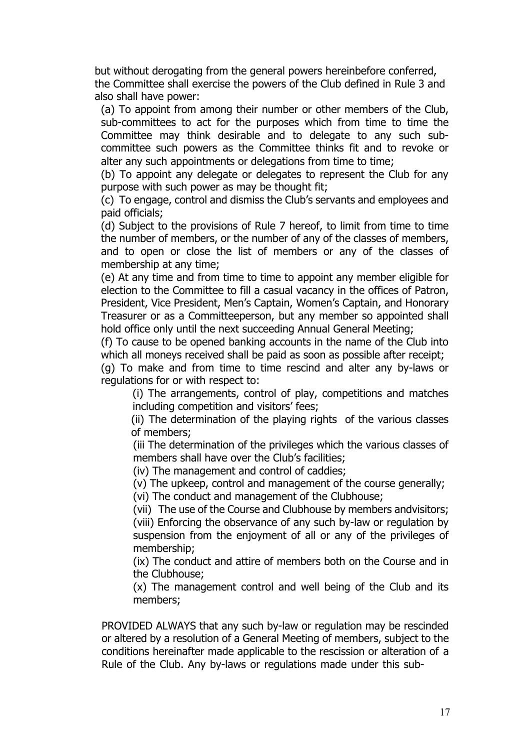but without derogating from the general powers hereinbefore conferred, the Committee shall exercise the powers of the Club defined in Rule 3 and also shall have power:

(a) To appoint from among their number or other members of the Club, sub-committees to act for the purposes which from time to time the Committee may think desirable and to delegate to any such subcommittee such powers as the Committee thinks fit and to revoke or alter any such appointments or delegations from time to time;

(b) To appoint any delegate or delegates to represent the Club for any purpose with such power as may be thought fit;

(c) To engage, control and dismiss the Club's servants and employees and paid officials;

(d) Subject to the provisions of Rule 7 hereof, to limit from time to time the number of members, or the number of any of the classes of members, and to open or close the list of members or any of the classes of membership at any time;

(e) At any time and from time to time to appoint any member eligible for election to the Committee to fill a casual vacancy in the offices of Patron, President, Vice President, Men's Captain, Women's Captain, and Honorary Treasurer or as a Committeeperson, but any member so appointed shall hold office only until the next succeeding Annual General Meeting;

(f) To cause to be opened banking accounts in the name of the Club into which all moneys received shall be paid as soon as possible after receipt;

(g) To make and from time to time rescind and alter any by-laws or regulations for or with respect to:

(i) The arrangements, control of play, competitions and matches including competition and visitors' fees;

(ii) The determination of the playing rights of the various classes of members;

(iii The determination of the privileges which the various classes of members shall have over the Club's facilities;

(iv) The management and control of caddies;

(v) The upkeep, control and management of the course generally;

(vi) The conduct and management of the Clubhouse;

(vii) The use of the Course and Clubhouse by members andvisitors; (viii) Enforcing the observance of any such by-law or regulation by suspension from the enjoyment of all or any of the privileges of membership;

(ix) The conduct and attire of members both on the Course and in the Clubhouse;

(x) The management control and well being of the Club and its members;

PROVIDED ALWAYS that any such by-law or regulation may be rescinded or altered by a resolution of a General Meeting of members, subject to the conditions hereinafter made applicable to the rescission or alteration of a Rule of the Club. Any by-laws or regulations made under this sub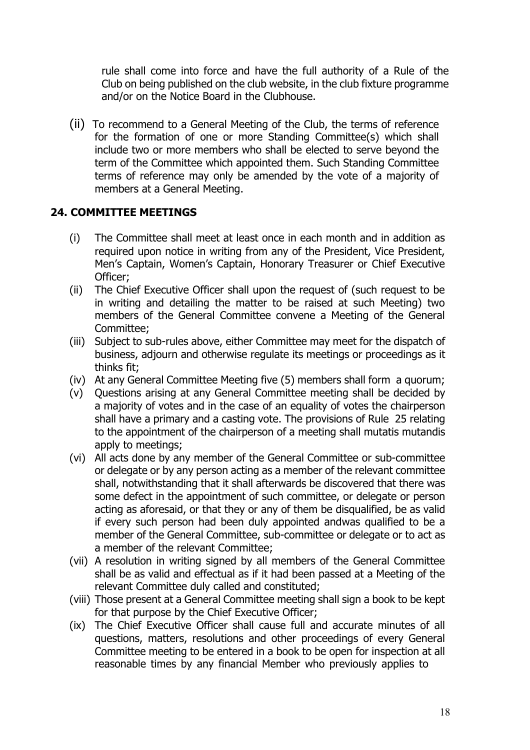rule shall come into force and have the full authority of a Rule of the Club on being published on the club website, in the club fixture programme and/or on the Notice Board in the Clubhouse.

(ii) To recommend to a General Meeting of the Club, the terms of reference for the formation of one or more Standing Committee(s) which shall include two or more members who shall be elected to serve beyond the term of the Committee which appointed them. Such Standing Committee terms of reference may only be amended by the vote of a majority of members at a General Meeting.

## **24. COMMITTEE MEETINGS**

- (i) The Committee shall meet at least once in each month and in addition as required upon notice in writing from any of the President, Vice President, Men's Captain, Women's Captain, Honorary Treasurer or Chief Executive Officer;
- (ii) The Chief Executive Officer shall upon the request of (such request to be in writing and detailing the matter to be raised at such Meeting) two members of the General Committee convene a Meeting of the General Committee;
- (iii) Subject to sub-rules above, either Committee may meet for the dispatch of business, adjourn and otherwise regulate its meetings or proceedings as it thinks fit;
- (iv) At any General Committee Meeting five (5) members shall form a quorum;
- (v) Questions arising at any General Committee meeting shall be decided by a majority of votes and in the case of an equality of votes the chairperson shall have a primary and a casting vote. The provisions of Rule 25 relating to the appointment of the chairperson of a meeting shall mutatis mutandis apply to meetings;
- (vi) All acts done by any member of the General Committee or sub-committee or delegate or by any person acting as a member of the relevant committee shall, notwithstanding that it shall afterwards be discovered that there was some defect in the appointment of such committee, or delegate or person acting as aforesaid, or that they or any of them be disqualified, be as valid if every such person had been duly appointed andwas qualified to be a member of the General Committee, sub-committee or delegate or to act as a member of the relevant Committee;
- (vii) A resolution in writing signed by all members of the General Committee shall be as valid and effectual as if it had been passed at a Meeting of the relevant Committee duly called and constituted;
- (viii) Those present at a General Committee meeting shall sign a book to be kept for that purpose by the Chief Executive Officer;
- (ix) The Chief Executive Officer shall cause full and accurate minutes of all questions, matters, resolutions and other proceedings of every General Committee meeting to be entered in a book to be open for inspection at all reasonable times by any financial Member who previously applies to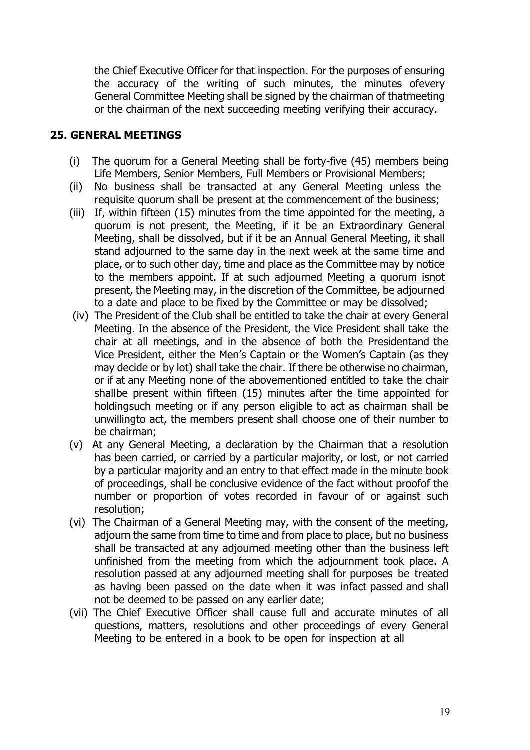the Chief Executive Officer for that inspection. For the purposes of ensuring the accuracy of the writing of such minutes, the minutes ofevery General Committee Meeting shall be signed by the chairman of thatmeeting or the chairman of the next succeeding meeting verifying their accuracy.

## **25. GENERAL MEETINGS**

- (i) The quorum for a General Meeting shall be forty-five (45) members being Life Members, Senior Members, Full Members or Provisional Members;
- (ii) No business shall be transacted at any General Meeting unless the requisite quorum shall be present at the commencement of the business;
- (iii) If, within fifteen (15) minutes from the time appointed for the meeting, a quorum is not present, the Meeting, if it be an Extraordinary General Meeting, shall be dissolved, but if it be an Annual General Meeting, it shall stand adjourned to the same day in the next week at the same time and place, or to such other day, time and place as the Committee may by notice to the members appoint. If at such adjourned Meeting a quorum isnot present, the Meeting may, in the discretion of the Committee, be adjourned to a date and place to be fixed by the Committee or may be dissolved;
- (iv) The President of the Club shall be entitled to take the chair at every General Meeting. In the absence of the President, the Vice President shall take the chair at all meetings, and in the absence of both the Presidentand the Vice President, either the Men's Captain or the Women's Captain (as they may decide or by lot) shall take the chair. If there be otherwise no chairman, or if at any Meeting none of the abovementioned entitled to take the chair shallbe present within fifteen (15) minutes after the time appointed for holdingsuch meeting or if any person eligible to act as chairman shall be unwillingto act, the members present shall choose one of their number to be chairman;
- (v) At any General Meeting, a declaration by the Chairman that a resolution has been carried, or carried by a particular majority, or lost, or not carried by a particular majority and an entry to that effect made in the minute book of proceedings, shall be conclusive evidence of the fact without proofof the number or proportion of votes recorded in favour of or against such resolution;
- (vi) The Chairman of a General Meeting may, with the consent of the meeting, adjourn the same from time to time and from place to place, but no business shall be transacted at any adjourned meeting other than the business left unfinished from the meeting from which the adjournment took place. A resolution passed at any adjourned meeting shall for purposes be treated as having been passed on the date when it was infact passed and shall not be deemed to be passed on any earlier date;
- (vii) The Chief Executive Officer shall cause full and accurate minutes of all questions, matters, resolutions and other proceedings of every General Meeting to be entered in a book to be open for inspection at all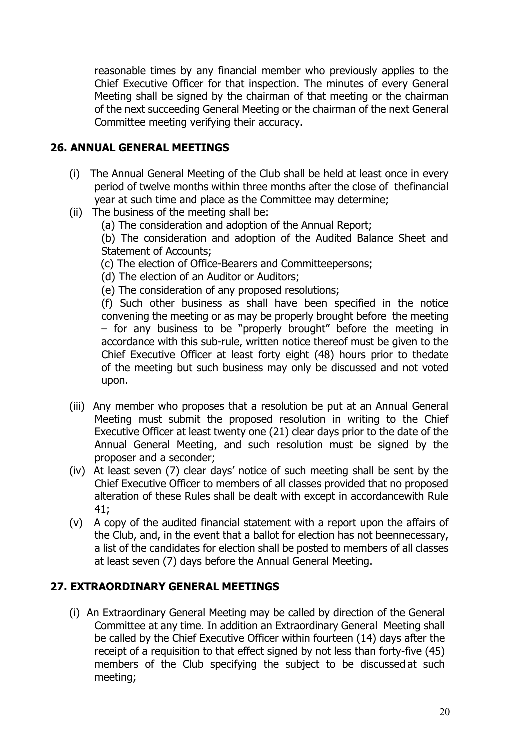reasonable times by any financial member who previously applies to the Chief Executive Officer for that inspection. The minutes of every General Meeting shall be signed by the chairman of that meeting or the chairman of the next succeeding General Meeting or the chairman of the next General Committee meeting verifying their accuracy.

### **26. ANNUAL GENERAL MEETINGS**

- (i) The Annual General Meeting of the Club shall be held at least once in every period of twelve months within three months after the close of thefinancial year at such time and place as the Committee may determine;
- (ii) The business of the meeting shall be:
	- (a) The consideration and adoption of the Annual Report;

(b) The consideration and adoption of the Audited Balance Sheet and Statement of Accounts;

- (c) The election of Office-Bearers and Committeepersons;
- (d) The election of an Auditor or Auditors;
- (e) The consideration of any proposed resolutions;

(f) Such other business as shall have been specified in the notice convening the meeting or as may be properly brought before the meeting – for any business to be "properly brought" before the meeting in accordance with this sub-rule, written notice thereof must be given to the Chief Executive Officer at least forty eight (48) hours prior to thedate of the meeting but such business may only be discussed and not voted upon.

- (iii) Any member who proposes that a resolution be put at an Annual General Meeting must submit the proposed resolution in writing to the Chief Executive Officer at least twenty one (21) clear days prior to the date of the Annual General Meeting, and such resolution must be signed by the proposer and a seconder;
- (iv) At least seven (7) clear days' notice of such meeting shall be sent by the Chief Executive Officer to members of all classes provided that no proposed alteration of these Rules shall be dealt with except in accordancewith Rule 41;
- (v) A copy of the audited financial statement with a report upon the affairs of the Club, and, in the event that a ballot for election has not beennecessary, a list of the candidates for election shall be posted to members of all classes at least seven (7) days before the Annual General Meeting.

## **27. EXTRAORDINARY GENERAL MEETINGS**

(i) An Extraordinary General Meeting may be called by direction of the General Committee at any time. In addition an Extraordinary General Meeting shall be called by the Chief Executive Officer within fourteen (14) days after the receipt of a requisition to that effect signed by not less than forty-five (45) members of the Club specifying the subject to be discussed at such meeting;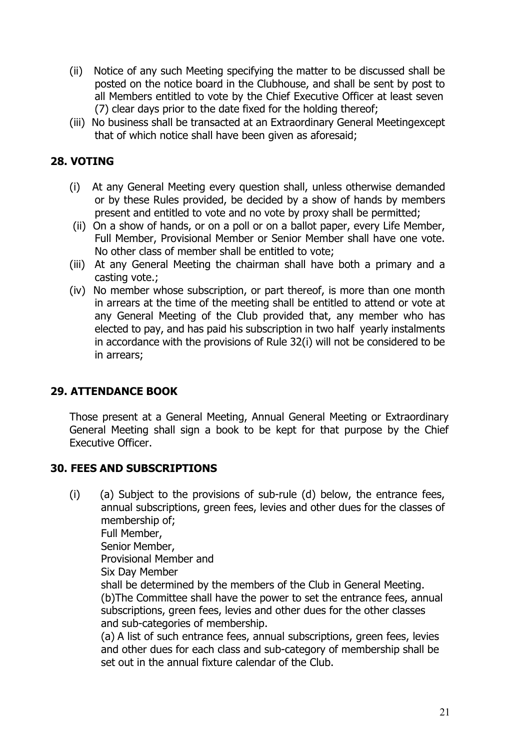- (ii) Notice of any such Meeting specifying the matter to be discussed shall be posted on the notice board in the Clubhouse, and shall be sent by post to all Members entitled to vote by the Chief Executive Officer at least seven (7) clear days prior to the date fixed for the holding thereof;
- (iii) No business shall be transacted at an Extraordinary General Meetingexcept that of which notice shall have been given as aforesaid;

## **28. VOTING**

- (i) At any General Meeting every question shall, unless otherwise demanded or by these Rules provided, be decided by a show of hands by members present and entitled to vote and no vote by proxy shall be permitted;
- (ii) On a show of hands, or on a poll or on a ballot paper, every Life Member, Full Member, Provisional Member or Senior Member shall have one vote. No other class of member shall be entitled to vote;
- (iii) At any General Meeting the chairman shall have both a primary and a casting vote.;
- (iv) No member whose subscription, or part thereof, is more than one month in arrears at the time of the meeting shall be entitled to attend or vote at any General Meeting of the Club provided that, any member who has elected to pay, and has paid his subscription in two half yearly instalments in accordance with the provisions of Rule 32(i) will not be considered to be in arrears;

### **29. ATTENDANCE BOOK**

Those present at a General Meeting, Annual General Meeting or Extraordinary General Meeting shall sign a book to be kept for that purpose by the Chief Executive Officer.

### **30. FEES AND SUBSCRIPTIONS**

(i) (a) Subject to the provisions of sub-rule (d) below, the entrance fees, annual subscriptions, green fees, levies and other dues for the classes of membership of; Full Member, Senior Member,

Provisional Member and

Six Day Member

shall be determined by the members of the Club in General Meeting. (b)The Committee shall have the power to set the entrance fees, annual subscriptions, green fees, levies and other dues for the other classes and sub-categories of membership.

(a) A list of such entrance fees, annual subscriptions, green fees, levies and other dues for each class and sub-category of membership shall be set out in the annual fixture calendar of the Club.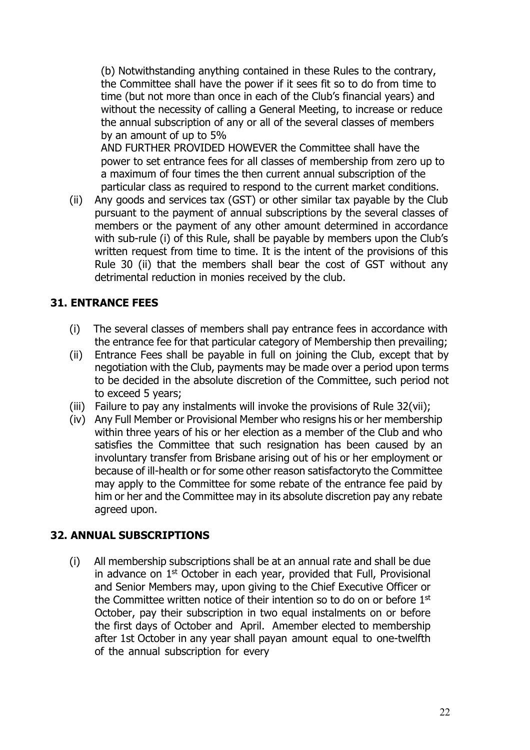(b) Notwithstanding anything contained in these Rules to the contrary, the Committee shall have the power if it sees fit so to do from time to time (but not more than once in each of the Club's financial years) and without the necessity of calling a General Meeting, to increase or reduce the annual subscription of any or all of the several classes of members by an amount of up to 5%

AND FURTHER PROVIDED HOWEVER the Committee shall have the power to set entrance fees for all classes of membership from zero up to a maximum of four times the then current annual subscription of the particular class as required to respond to the current market conditions.

(ii) Any goods and services tax (GST) or other similar tax payable by the Club pursuant to the payment of annual subscriptions by the several classes of members or the payment of any other amount determined in accordance with sub-rule (i) of this Rule, shall be payable by members upon the Club's written request from time to time. It is the intent of the provisions of this Rule 30 (ii) that the members shall bear the cost of GST without any detrimental reduction in monies received by the club.

## **31. ENTRANCE FEES**

- (i) The several classes of members shall pay entrance fees in accordance with the entrance fee for that particular category of Membership then prevailing;
- (ii) Entrance Fees shall be payable in full on joining the Club, except that by negotiation with the Club, payments may be made over a period upon terms to be decided in the absolute discretion of the Committee, such period not to exceed 5 years;
- (iii) Failure to pay any instalments will invoke the provisions of Rule 32(vii);
- (iv) Any Full Member or Provisional Member who resigns his or her membership within three years of his or her election as a member of the Club and who satisfies the Committee that such resignation has been caused by an involuntary transfer from Brisbane arising out of his or her employment or because of ill-health or for some other reason satisfactoryto the Committee may apply to the Committee for some rebate of the entrance fee paid by him or her and the Committee may in its absolute discretion pay any rebate agreed upon.

### **32. ANNUAL SUBSCRIPTIONS**

(i) All membership subscriptions shall be at an annual rate and shall be due in advance on 1st October in each year, provided that Full, Provisional and Senior Members may, upon giving to the Chief Executive Officer or the Committee written notice of their intention so to do on or before 1<sup>st</sup> October, pay their subscription in two equal instalments on or before the first days of October and April. Amember elected to membership after 1st October in any year shall payan amount equal to one-twelfth of the annual subscription for every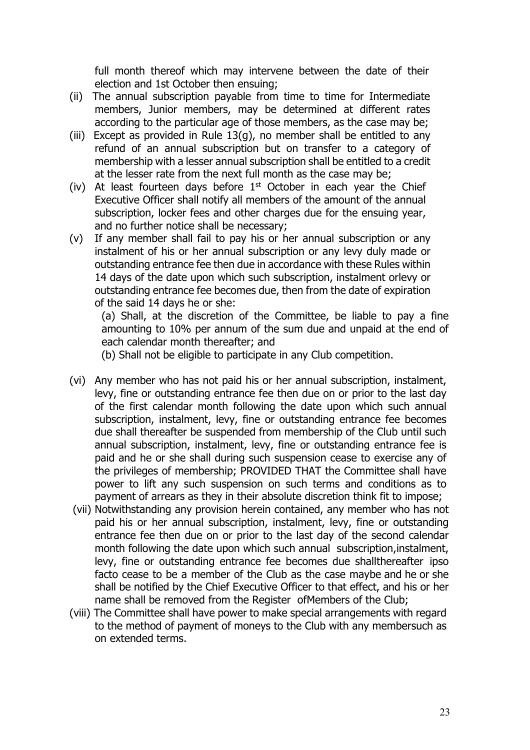full month thereof which may intervene between the date of their election and 1st October then ensuing;

- (ii) The annual subscription payable from time to time for Intermediate members, Junior members, may be determined at different rates according to the particular age of those members, as the case may be;
- (iii) Except as provided in Rule  $13(g)$ , no member shall be entitled to any refund of an annual subscription but on transfer to a category of membership with a lesser annual subscription shall be entitled to a credit at the lesser rate from the next full month as the case may be;
- (iv) At least fourteen days before  $1<sup>st</sup>$  October in each year the Chief Executive Officer shall notify all members of the amount of the annual subscription, locker fees and other charges due for the ensuing year, and no further notice shall be necessary;
- (v) If any member shall fail to pay his or her annual subscription or any instalment of his or her annual subscription or any levy duly made or outstanding entrance fee then due in accordance with these Rules within 14 days of the date upon which such subscription, instalment orlevy or outstanding entrance fee becomes due, then from the date of expiration of the said 14 days he or she:

(a) Shall, at the discretion of the Committee, be liable to pay a fine amounting to 10% per annum of the sum due and unpaid at the end of each calendar month thereafter; and

(b) Shall not be eligible to participate in any Club competition.

- (vi) Any member who has not paid his or her annual subscription, instalment, levy, fine or outstanding entrance fee then due on or prior to the last day of the first calendar month following the date upon which such annual subscription, instalment, levy, fine or outstanding entrance fee becomes due shall thereafter be suspended from membership of the Club until such annual subscription, instalment, levy, fine or outstanding entrance fee is paid and he or she shall during such suspension cease to exercise any of the privileges of membership; PROVIDED THAT the Committee shall have power to lift any such suspension on such terms and conditions as to payment of arrears as they in their absolute discretion think fit to impose;
- (vii) Notwithstanding any provision herein contained, any member who has not paid his or her annual subscription, instalment, levy, fine or outstanding entrance fee then due on or prior to the last day of the second calendar month following the date upon which such annual subscription, instalment, levy, fine or outstanding entrance fee becomes due shallthereafter ipso facto cease to be a member of the Club as the case maybe and he or she shall be notified by the Chief Executive Officer to that effect, and his or her name shall be removed from the Register ofMembers of the Club;
- (viii) The Committee shall have power to make special arrangements with regard to the method of payment of moneys to the Club with any membersuch as on extended terms.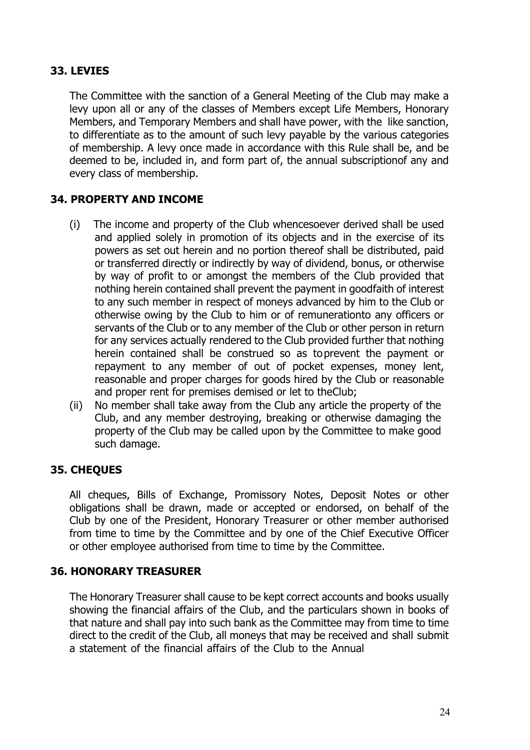## **33. LEVIES**

The Committee with the sanction of a General Meeting of the Club may make a levy upon all or any of the classes of Members except Life Members, Honorary Members, and Temporary Members and shall have power, with the like sanction, to differentiate as to the amount of such levy payable by the various categories of membership. A levy once made in accordance with this Rule shall be, and be deemed to be, included in, and form part of, the annual subscriptionof any and every class of membership.

# **34. PROPERTY AND INCOME**

- (i) The income and property of the Club whencesoever derived shall be used and applied solely in promotion of its objects and in the exercise of its powers as set out herein and no portion thereof shall be distributed, paid or transferred directly or indirectly by way of dividend, bonus, or otherwise by way of profit to or amongst the members of the Club provided that nothing herein contained shall prevent the payment in goodfaith of interest to any such member in respect of moneys advanced by him to the Club or otherwise owing by the Club to him or of remunerationto any officers or servants of the Club or to any member of the Club or other person in return for any services actually rendered to the Club provided further that nothing herein contained shall be construed so as toprevent the payment or repayment to any member of out of pocket expenses, money lent, reasonable and proper charges for goods hired by the Club or reasonable and proper rent for premises demised or let to theClub;
- (ii) No member shall take away from the Club any article the property of the Club, and any member destroying, breaking or otherwise damaging the property of the Club may be called upon by the Committee to make good such damage.

## **35. CHEQUES**

All cheques, Bills of Exchange, Promissory Notes, Deposit Notes or other obligations shall be drawn, made or accepted or endorsed, on behalf of the Club by one of the President, Honorary Treasurer or other member authorised from time to time by the Committee and by one of the Chief Executive Officer or other employee authorised from time to time by the Committee.

### **36. HONORARY TREASURER**

The Honorary Treasurer shall cause to be kept correct accounts and books usually showing the financial affairs of the Club, and the particulars shown in books of that nature and shall pay into such bank as the Committee may from time to time direct to the credit of the Club, all moneys that may be received and shall submit a statement of the financial affairs of the Club to the Annual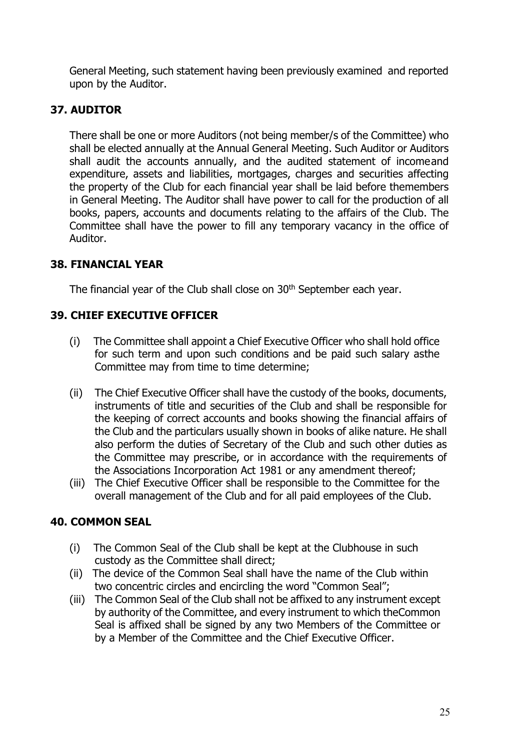General Meeting, such statement having been previously examined and reported upon by the Auditor.

## **37. AUDITOR**

There shall be one or more Auditors (not being member/s of the Committee) who shall be elected annually at the Annual General Meeting. Such Auditor or Auditors shall audit the accounts annually, and the audited statement of incomeand expenditure, assets and liabilities, mortgages, charges and securities affecting the property of the Club for each financial year shall be laid before themembers in General Meeting. The Auditor shall have power to call for the production of all books, papers, accounts and documents relating to the affairs of the Club. The Committee shall have the power to fill any temporary vacancy in the office of Auditor.

## **38. FINANCIAL YEAR**

The financial year of the Club shall close on 30<sup>th</sup> September each year.

## **39. CHIEF EXECUTIVE OFFICER**

- (i) The Committee shall appoint a Chief Executive Officer who shall hold office for such term and upon such conditions and be paid such salary asthe Committee may from time to time determine;
- (ii) The Chief Executive Officer shall have the custody of the books, documents, instruments of title and securities of the Club and shall be responsible for the keeping of correct accounts and books showing the financial affairs of the Club and the particulars usually shown in books of alike nature. He shall also perform the duties of Secretary of the Club and such other duties as the Committee may prescribe, or in accordance with the requirements of the Associations Incorporation Act 1981 or any amendment thereof;
- (iii) The Chief Executive Officer shall be responsible to the Committee for the overall management of the Club and for all paid employees of the Club.

## **40. COMMON SEAL**

- (i) The Common Seal of the Club shall be kept at the Clubhouse in such custody as the Committee shall direct;
- (ii) The device of the Common Seal shall have the name of the Club within two concentric circles and encircling the word "Common Seal";
- (iii) The Common Seal of the Club shall not be affixed to any instrument except by authority of the Committee, and every instrument to which theCommon Seal is affixed shall be signed by any two Members of the Committee or by a Member of the Committee and the Chief Executive Officer.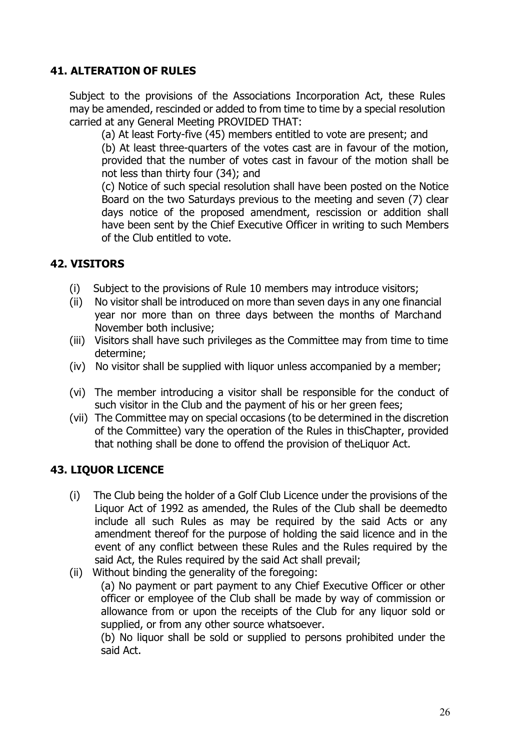## **41. ALTERATION OF RULES**

Subject to the provisions of the Associations Incorporation Act, these Rules may be amended, rescinded or added to from time to time by a special resolution carried at any General Meeting PROVIDED THAT:

(a) At least Forty-five (45) members entitled to vote are present; and (b) At least three-quarters of the votes cast are in favour of the motion, provided that the number of votes cast in favour of the motion shall be not less than thirty four (34); and

(c) Notice of such special resolution shall have been posted on the Notice Board on the two Saturdays previous to the meeting and seven (7) clear days notice of the proposed amendment, rescission or addition shall have been sent by the Chief Executive Officer in writing to such Members of the Club entitled to vote.

# **42. VISITORS**

- (i) Subject to the provisions of Rule 10 members may introduce visitors;
- (ii) No visitor shall be introduced on more than seven days in any one financial year nor more than on three days between the months of Marchand November both inclusive;
- (iii) Visitors shall have such privileges as the Committee may from time to time determine;
- (iv) No visitor shall be supplied with liquor unless accompanied by a member;
- (vi) The member introducing a visitor shall be responsible for the conduct of such visitor in the Club and the payment of his or her green fees;
- (vii) The Committee may on special occasions (to be determined in the discretion of the Committee) vary the operation of the Rules in thisChapter, provided that nothing shall be done to offend the provision of theLiquor Act.

# **43. LIQUOR LICENCE**

- (i) The Club being the holder of a Golf Club Licence under the provisions of the Liquor Act of 1992 as amended, the Rules of the Club shall be deemedto include all such Rules as may be required by the said Acts or any amendment thereof for the purpose of holding the said licence and in the event of any conflict between these Rules and the Rules required by the said Act, the Rules required by the said Act shall prevail;
- (ii) Without binding the generality of the foregoing: (a) No payment or part payment to any Chief Executive Officer or other officer or employee of the Club shall be made by way of commission or allowance from or upon the receipts of the Club for any liquor sold or supplied, or from any other source whatsoever. (b) No liquor shall be sold or supplied to persons prohibited under the

said Act.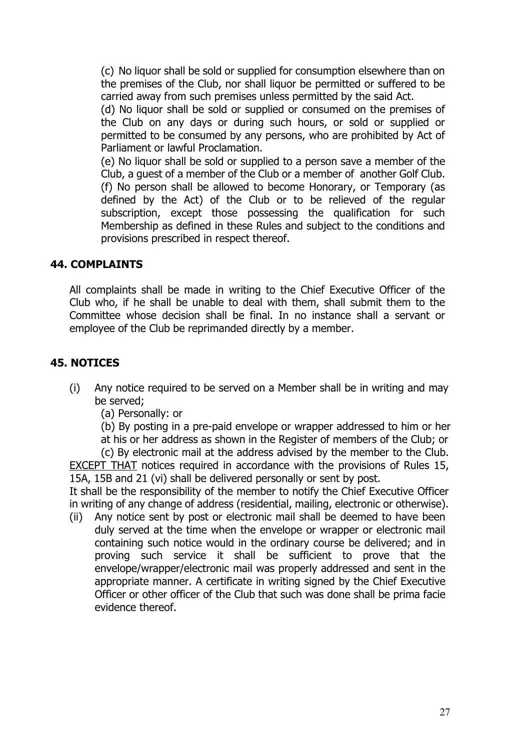(c) No liquor shall be sold or supplied for consumption elsewhere than on the premises of the Club, nor shall liquor be permitted or suffered to be carried away from such premises unless permitted by the said Act.

(d) No liquor shall be sold or supplied or consumed on the premises of the Club on any days or during such hours, or sold or supplied or permitted to be consumed by any persons, who are prohibited by Act of Parliament or lawful Proclamation.

(e) No liquor shall be sold or supplied to a person save a member of the Club, a guest of a member of the Club or a member of another Golf Club. (f) No person shall be allowed to become Honorary, or Temporary (as defined by the Act) of the Club or to be relieved of the regular subscription, except those possessing the qualification for such Membership as defined in these Rules and subject to the conditions and provisions prescribed in respect thereof.

### **44. COMPLAINTS**

All complaints shall be made in writing to the Chief Executive Officer of the Club who, if he shall be unable to deal with them, shall submit them to the Committee whose decision shall be final. In no instance shall a servant or employee of the Club be reprimanded directly by a member.

## **45. NOTICES**

- (i) Any notice required to be served on a Member shall be in writing and may be served;
	- (a) Personally: or

(b) By posting in a pre-paid envelope or wrapper addressed to him or her at his or her address as shown in the Register of members of the Club; or (c) By electronic mail at the address advised by the member to the Club.

EXCEPT THAT notices required in accordance with the provisions of Rules 15, 15A, 15B and 21 (vi) shall be delivered personally or sent by post.

It shall be the responsibility of the member to notify the Chief Executive Officer in writing of any change of address (residential, mailing, electronic or otherwise).

(ii) Any notice sent by post or electronic mail shall be deemed to have been duly served at the time when the envelope or wrapper or electronic mail containing such notice would in the ordinary course be delivered; and in proving such service it shall be sufficient to prove that the envelope/wrapper/electronic mail was properly addressed and sent in the appropriate manner. A certificate in writing signed by the Chief Executive Officer or other officer of the Club that such was done shall be prima facie evidence thereof.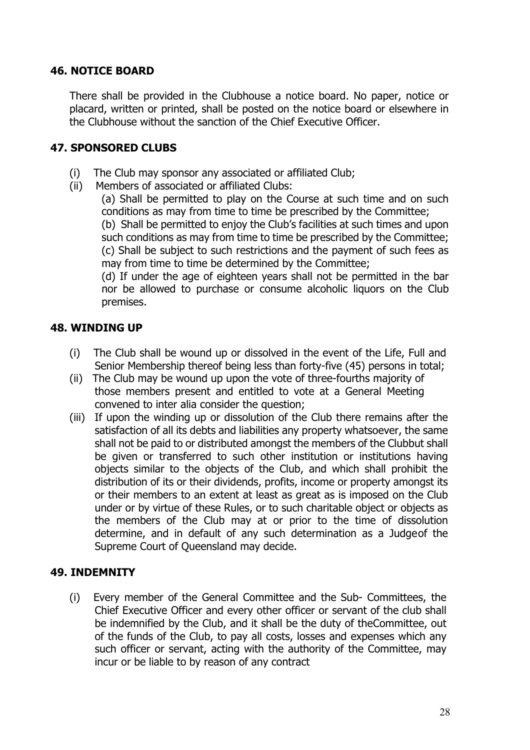### **46. NOTICE BOARD**

There shall be provided in the Clubhouse a notice board. No paper, notice or placard, written or printed, shall be posted on the notice board or elsewhere in the Clubhouse without the sanction of the Chief Executive Officer.

### **47. SPONSORED CLUBS**

- (i) The Club may sponsor any associated or affiliated Club;
- (ii) Members of associated or affiliated Clubs:

(a) Shall be permitted to play on the Course at such time and on such conditions as may from time to time be prescribed by the Committee; (b) Shall be permitted to enjoy the Club's facilities at such times and upon such conditions as may from time to time be prescribed by the Committee; (c) Shall be subject to such restrictions and the payment of such fees as may from time to time be determined by the Committee;

(d) If under the age of eighteen years shall not be permitted in the bar nor be allowed to purchase or consume alcoholic liquors on the Club premises.

### **48. WINDING UP**

- (i) The Club shall be wound up or dissolved in the event of the Life, Full and Senior Membership thereof being less than forty-five (45) persons in total;
- (ii) The Club may be wound up upon the vote of three-fourths majority of those members present and entitled to vote at a General Meeting convened to inter alia consider the question;
- (iii) If upon the winding up or dissolution of the Club there remains after the satisfaction of all its debts and liabilities any property whatsoever, the same shall not be paid to or distributed amongst the members of the Clubbut shall be given or transferred to such other institution or institutions having objects similar to the objects of the Club, and which shall prohibit the distribution of its or their dividends, profits, income or property amongst its or their members to an extent at least as great as is imposed on the Club under or by virtue of these Rules, or to such charitable object or objects as the members of the Club may at or prior to the time of dissolution determine, and in default of any such determination as a Judgeof the Supreme Court of Queensland may decide.

### **49. INDEMNITY**

(i) Every member of the General Committee and the Sub- Committees, the Chief Executive Officer and every other officer or servant of the club shall be indemnified by the Club, and it shall be the duty of theCommittee, out of the funds of the Club, to pay all costs, losses and expenses which any such officer or servant, acting with the authority of the Committee, may incur or be liable to by reason of any contract